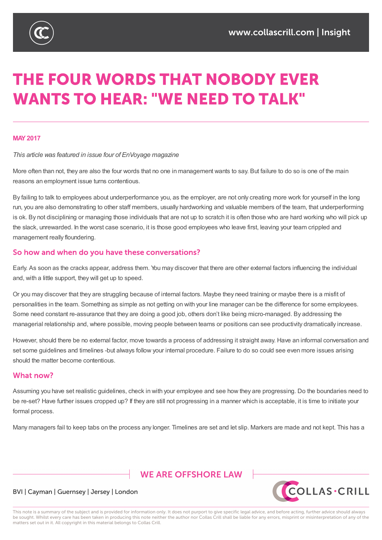

# **THE FOUR WORDS THAT NOBODY EVER WANTS TO HEAR: "WE NEED TO TALK"**

#### **MAY2017**

#### *This article was featured in issue four of EnVoyage magazine*

More often than not, they are also the four words that no one in management wants to say. But failure to do so is one of the main reasons an employment issue turns contentious.

By failing to talk to employees about underperformance you, as the employer, are not only creating more work for yourself in the long run, you are also demonstrating to other staff members, usually hardworking and valuable members of the team, that underperforming is ok. By not disciplining or managing those individuals that are not up to scratch it is often those who are hard working who will pick up the slack, unrewarded. In the worst case scenario, it is those good employees who leave first, leaving your team crippled and management really floundering.

#### So how and when do you have these conversations?

Early. As soon as the cracks appear, address them. You may discover that there are other external factors influencing the individual and, with a little support, they will get up to speed.

Or you may discover that they are struggling because of internal factors. Maybe they need training or maybe there is a misfit of personalities in the team. Something as simple as not getting on with your line manager can be the difference for some employees. Some need constant re-assurance that they are doing a good job, others don't like being micro-managed. By addressing the managerial relationship and, where possible, moving people between teams or positions can see productivity dramatically increase.

However, should there be no external factor, move towards a process of addressing it straight away. Have an informal conversation and set some guidelines and timelines -but always follow your internal procedure. Failure to do so could see even more issues arising should the matter become contentious.

#### What now?

Assuming you have set realistic guidelines, check in with your employee and see how they are progressing. Do the boundaries need to be re-set? Have further issues cropped up? If they are still not progressing in a manner which is acceptable, it is time to initiate your formal process.

Many managers fail to keep tabs on the process any longer. Timelines are set and let slip. Markers are made and not kept. This has a

## **WE ARE OFFSHORE I AW**



#### BVI | Cayman | Guernsey | Jersey | London

This note is a summary of the subject and is provided for information only. It does not purport to give specific legal advice, and before acting, further advice should always be sought. Whilst every care has been taken in producing this note neither the author nor Collas Crill shall be liable for any errors, misprint or misinterpretation of any of the matters set out in it. All copyright in this material belongs to Collas Crill.